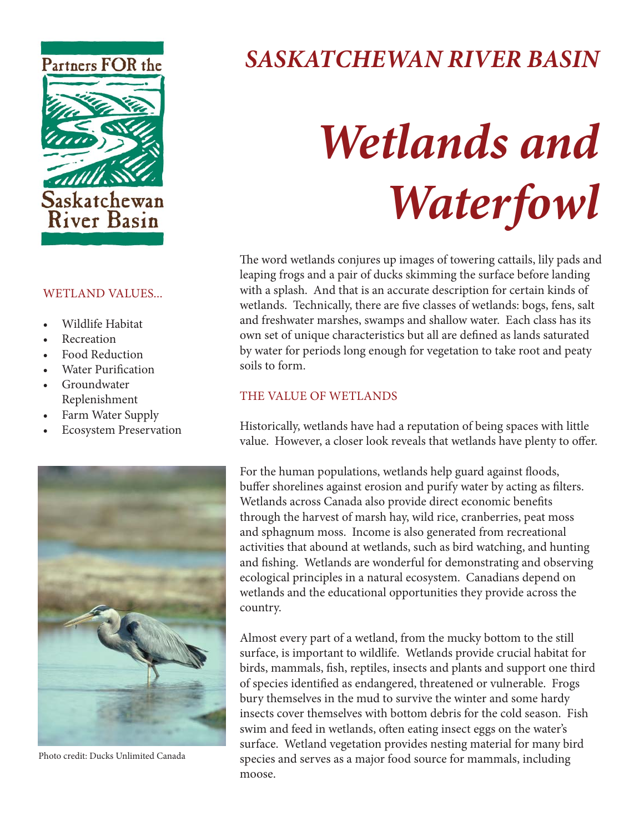

#### WETLAND VALUES...

- Wildlife Habitat
- **Recreation**
- Food Reduction
- **Water Purification**
- **Groundwater** Replenishment
- Farm Water Supply
- Ecosystem Preservation



Photo credit: Ducks Unlimited Canada

# *SASKATCHEWAN RIVER BASIN*

# *Wetlands and Waterfowl*

The word wetlands conjures up images of towering cattails, lily pads and leaping frogs and a pair of ducks skimming the surface before landing with a splash. And that is an accurate description for certain kinds of wetlands. Technically, there are five classes of wetlands: bogs, fens, salt and freshwater marshes, swamps and shallow water. Each class has its own set of unique characteristics but all are defined as lands saturated by water for periods long enough for vegetation to take root and peaty soils to form.

# THE VALUE OF WETLANDS

Historically, wetlands have had a reputation of being spaces with little value. However, a closer look reveals that wetlands have plenty to offer.

For the human populations, wetlands help guard against floods, buffer shorelines against erosion and purify water by acting as filters. Wetlands across Canada also provide direct economic benefits through the harvest of marsh hay, wild rice, cranberries, peat moss and sphagnum moss. Income is also generated from recreational activities that abound at wetlands, such as bird watching, and hunting and fishing. Wetlands are wonderful for demonstrating and observing ecological principles in a natural ecosystem. Canadians depend on wetlands and the educational opportunities they provide across the country.

Almost every part of a wetland, from the mucky bottom to the still surface, is important to wildlife. Wetlands provide crucial habitat for birds, mammals, fish, reptiles, insects and plants and support one third of species identified as endangered, threatened or vulnerable. Frogs bury themselves in the mud to survive the winter and some hardy insects cover themselves with bottom debris for the cold season. Fish swim and feed in wetlands, often eating insect eggs on the water's surface. Wetland vegetation provides nesting material for many bird species and serves as a major food source for mammals, including moose.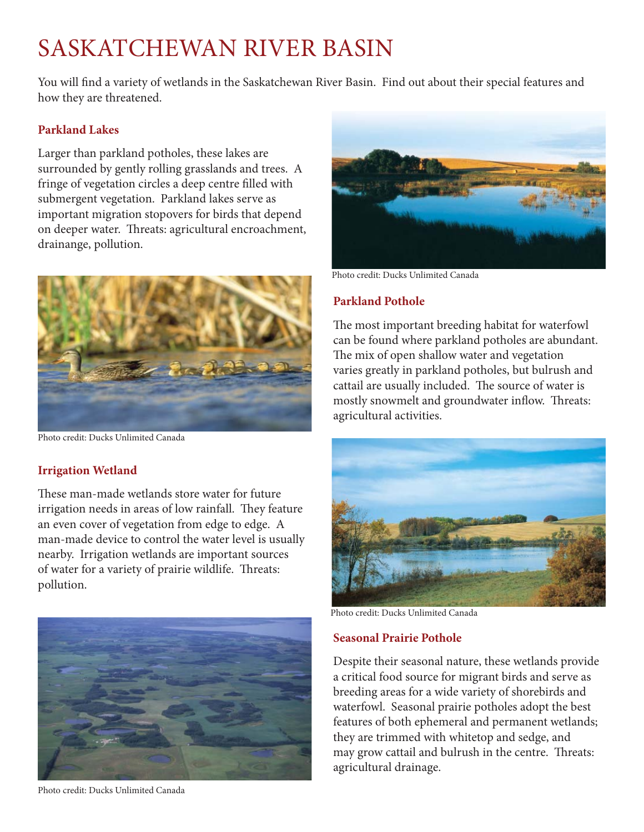# SASKATCHEWAN RIVER BASIN

You will find a variety of wetlands in the Saskatchewan River Basin. Find out about their special features and how they are threatened.

### **Parkland Lakes**

Larger than parkland potholes, these lakes are surrounded by gently rolling grasslands and trees. A fringe of vegetation circles a deep centre filled with submergent vegetation. Parkland lakes serve as important migration stopovers for birds that depend on deeper water. Threats: agricultural encroachment, drainange, pollution.



Photo credit: Ducks Unlimited Canada

# **Irrigation Wetland**

These man-made wetlands store water for future irrigation needs in areas of low rainfall. They feature an even cover of vegetation from edge to edge. A man-made device to control the water level is usually nearby. Irrigation wetlands are important sources of water for a variety of prairie wildlife. Threats: pollution.



Photo credit: Ducks Unlimited Canada



Photo credit: Ducks Unlimited Canada

## **Parkland Pothole**

The most important breeding habitat for waterfowl can be found where parkland potholes are abundant. The mix of open shallow water and vegetation varies greatly in parkland potholes, but bulrush and cattail are usually included. The source of water is mostly snowmelt and groundwater inflow. Threats: agricultural activities.



Photo credit: Ducks Unlimited Canada

#### **Seasonal Prairie Pothole**

Despite their seasonal nature, these wetlands provide a critical food source for migrant birds and serve as breeding areas for a wide variety of shorebirds and waterfowl. Seasonal prairie potholes adopt the best features of both ephemeral and permanent wetlands; they are trimmed with whitetop and sedge, and may grow cattail and bulrush in the centre. Threats: agricultural drainage.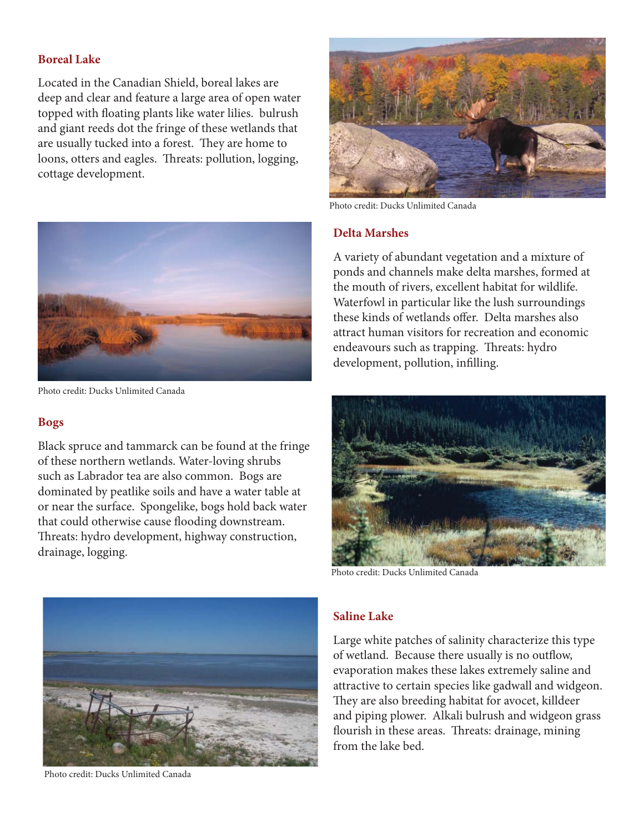#### **Boreal Lake**

Located in the Canadian Shield, boreal lakes are deep and clear and feature a large area of open water topped with floating plants like water lilies. bulrush and giant reeds dot the fringe of these wetlands that are usually tucked into a forest. They are home to loons, otters and eagles. Threats: pollution, logging, cottage development.



Photo credit: Ducks Unlimited Canada

#### **Bogs**

Black spruce and tammarck can be found at the fringe of these northern wetlands. Water-loving shrubs such as Labrador tea are also common. Bogs are dominated by peatlike soils and have a water table at or near the surface. Spongelike, bogs hold back water that could otherwise cause flooding downstream. Threats: hydro development, highway construction, drainage, logging.



Photo credit: Ducks Unlimited Canada

#### **Delta Marshes**

A variety of abundant vegetation and a mixture of ponds and channels make delta marshes, formed at the mouth of rivers, excellent habitat for wildlife. Waterfowl in particular like the lush surroundings these kinds of wetlands offer. Delta marshes also attract human visitors for recreation and economic endeavours such as trapping. Threats: hydro development, pollution, infilling.



Photo credit: Ducks Unlimited Canada



Photo credit: Ducks Unlimited Canada

#### **Saline Lake**

Large white patches of salinity characterize this type of wetland. Because there usually is no outflow, evaporation makes these lakes extremely saline and attractive to certain species like gadwall and widgeon. They are also breeding habitat for avocet, killdeer and piping plower. Alkali bulrush and widgeon grass flourish in these areas. Threats: drainage, mining from the lake bed.